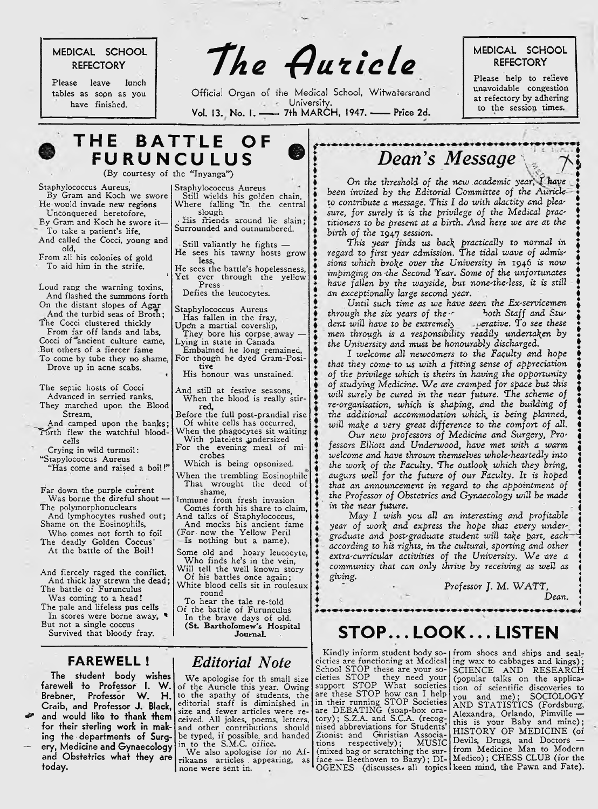# **MEDICAL SCHOOL**

Please leave lunch tables as sopn as you have finished.

REFECTORY **The Auticle** Refectory

Official Organ of the Medical School, Witwatersrand **University.** Vol. 13. No. 1. - 7th MARCH, 1947. - Price 2d.

©

**REFEC TO R Y**

unavoidable congestion at refectory by adhering to the session times.

**THE BATTLE OF FURUNCULUS** (By courtesy of the "Inyanga")

Staphylococcus Aureus

slough

less,

Press - Defies the leucocytes. Staphylococcus Aureus Has fallen in the fray, Upo'n a martial coverslip, They bore his corpse away Lying in state in Canada

tive

red,

crobes

shame,

round

Still wields his golden chain, Where falling "in the central

His friends around lie slain; Surrounded and outnumbered. Still valiantly he fights — He sees his tawny hosts grow

He sees the battle's hopelessness, Yet ever through the yellow

Embalmed he long remained, For though he dyed Gram-Posi-

His honour was unstained. And still at festive seasons, When the blood is really stir-

Before the full post-prandial rise Of white cells has occurred, When the phagocytes sit waiting With platelets undersized For the evening meal of mi-

Which is being opsonized. When the trembling Eosinophile That wrought the deed of

Tmmune from fresh invasion Comes forth his share to claim, And talks of Staphylococcus, And mocks his ancient fame (For- now the Yellow Peril Is nothing but a name). Some old and hoary leucocyte, Who finds he's in the vein, Will tell the well known story Of his battles once again; White blood cells sit in rouleaux

t

«

Staphylococcus Aureus,

By Gram and Koch we swore He would invade new regions Unconquered heretofore,

- By Gram and Koch he swore it-To take a patient's life.
- And called the Cocci, young and old,

From all his colonies of gold To aid him in the strife.

Loud rang the warning toxins, And flashed the summons forth On the distant slopes of Agar And the turbid seas of Broth; The Cocci clustered thickly From far off lands and labs, Cocci of <sup>"</sup>ancient culture came, But others of a fiercer fame

To come by tube they no shame, Drove up in acne scabs.

The septic hosts of Cocci Advanced in serried ranks, They marched upon the Blood Stream,

And camped upon the banks; Forth flew the watchful bloodcells

Crying in wild turmoil: "Stapylococcus Aureus

"Has come and raised a boil!"

Far down the purple current Was borne the direful shout -The polymorphonuclears

And lymphocytes rushed out; Shame on the Eosinophils,

Who comes not forth to foil The deadly Golden Coccus' At the battle of the Boil!

And fiercely raged the conflict, And thick lay strewn the dead; The battle of Furunculus

Was coming to a head! The pale and lifeless pus cells

In scores were borne away, \* But not a single coccus

Survived that bloody fray.

### **FAREWELL !**

**The student body wishes farewell to Professor I. W .** Brebne**r, P**rotesso**r W. H. Craib, and Professor J. Black,** *&* **and would like to thank them for their sterling work in mak**ing the departments of Surg-**— ery, Medicine and Gynaecology and Obstetrics what they are today.**

# *Editorial Note*

To hear the tale re-told Of the battle of Furunculus In the brave days of old. (St. Bartholomew's Hospital Journal.

We apologise for th small size of the Auricle this year. Owing to the apathy of students, the editorial staff is diminished in size and fewer articles were received. All jokes, poems, letters, and other contributions should be typed, if possible, and handed in to the S.M.C. office.<br>We also apologise for no Af-

rikaans articles, appearing, as none were sent in.  $OGENES$  (discusses all topics keen mind, the Pawn and Fate).

# *Dean's Message\*

On the threshold of the new academic year, I have *been invited by the Editorial Committee of the Auricle to contribute a message. This I do with alactity and pleasure, for surely it is the privilege of the Medical prac' titioners to be present at a birth. A nd here we are at the birth of the* 1947 *session.*

*This year* finds us *bac\ practically to normal in regard to first year admission. The tidal wave of admissions which bro\e over the University in* 1946 *is now impinging on the Second Tear. Some of the unfortunates have fallen by the wayside, but none'the-less, it is still an exceptionally large second year.*

*Until such time as we have seen the Ex-servicemen through the six years of the c* both Staff and Stu-<br>dent will have to be extremely sperative. To see these *dent will have to be extremely men through is a responsibility readily undertaken by the University and must be honourably discharged.*

*I welcome all newcomers to the Faculty and hope that they come to us with a fitting sense of appreciation of the privilege which is theirs in having the opportunity of studying Medicine.* W e *are cramped for space but this will surely be cured in the near future. The scheme of re-organisation, which is shaping, and the building of the additional accommodation which is being planned, will ma\e a very great difference to the comfort of all.*

*Our new professors of Medicine and Surgery, Professors Elliott and Underwood, have met with a warm welcome and have thrown themselves whole-heartedly into the wor\ of the Faculty. The outloo\ which they bring, augurs well for the future of our Faculty. It is hoped that an announcement in regard to the appointment of the Professor of Obstetrics and Gynaecology will be made in the near future.*

*M ay I wish you all an interesting and profitable year of wor\ and express the hope that every undergraduate and post-graduate student will ta\e part, each according to his rights, in the cultural, sporting and other extra-curricular activities of the University.* W e *are a community that can only thrive by receiving as well as giving.*

> Professor J. M. WATT, *Dean.*

# $STOP...$  LOOK ... LISTEN

Kindly inform student body societies are functioning at Medical School STOP these are your societies STOP they need your support STOP What societies are these STOP how can I help in their running STOP Societies are DEBATING (soap-box oratory) ; S.Z.A. and S.C.A. (recognised abbreviations for Students' Zionist and Christian Associations respectively); M USIC (mixed bag or scratching the surface — Beethoven to Bazy); DI-

from shoes and ships and seal; ing wax to cabbages and kings); SCIENCE AND RESEARCH (popular talks on the application of scientific discoveries to you and me); SOCIOLOGY AND STATISTICS (Fordsburg, Alexandra, Orlando, Pimville this is your Baby and mine); HISTORY OF MEDICINE (of Devils, Drugs, and Doctors from Medicine Man to Modern Medico); CH ESS CLUB (for the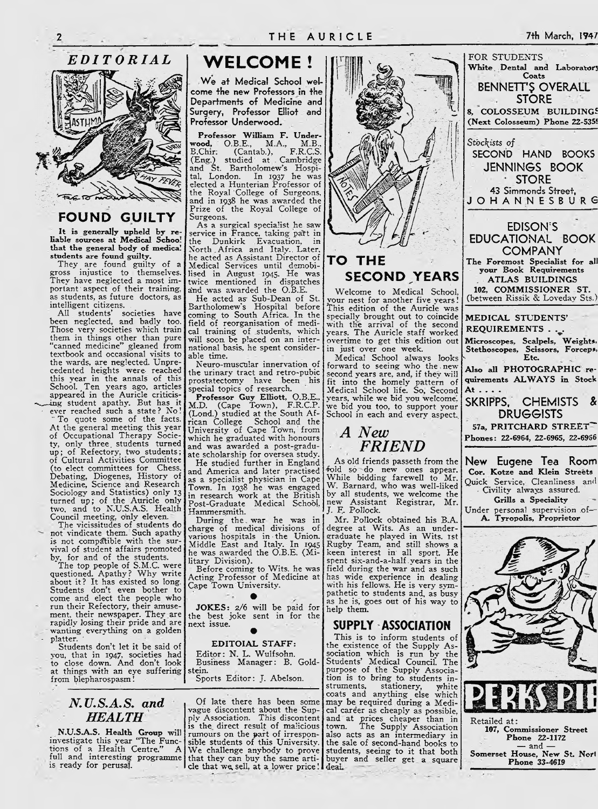

## **FOUND GUILTY**

It is generally upheld by reliable sources at Medical School that the general body of medical students are found guilty.

They are found guilty of a gross injustice to themselves. They have neglected a most important aspect of their training, as students, as future doctors, as intelligent citizens. .

All students' societies have been neglected, and badly too. Those very societies which train them in things other than pure "canned medicine" gleaned from textbook and occasional visits to the wards, are neglected. Unprecedented heights were- reached this year in the annals of this School. Ten years ago, articles appeared in the Auricle criticis-<br>ing student apathy. But has it

 $\cdot$  ever reached such a state? No! " To quote some of the facts. At the general meeting this year of Occupational Therapy Society, only three. students turned up; of Refectory, two students; . of Cultural Activities Committee (to elect committees for Chess. Debating, Diogenes, History of Medicine, Science and Research Sociology and Statistics) only 13 turned up; of the Auricle only two, and to N.U.S.A.S. Health Council meeting, only eleven.

The vicissitudes of students do not vindicate them. Such apathy is not compatible with the survival of student affairs promoted by, for and of the students.

The top people of S.M.C. were questioned. Apathy? Why write about it? It has existed so long. Students don't even bother to come and elect the people who run their Refectory, their amusement, their newspaper. They are rapidly losing their pride and are wanting everything on a golden platter.

Students don't let it be said of you, that in 1947, societies had to close down. And don't look at things with an eye suffering from blepharospasm!

## *N.U.S.A.S*. *and HEALTH*

N.U.S.A.S. Health Group will investigate this year "The Functions of a Health Centre." A full and interesting programme is ready for perusal.

# **WELCOME!**

We at Medical School wel**come the new Professors in the Departments of Medicine and Surgery, Professor Elliot and Professor Underwood.**

Professor William F. Underwood, O.B.E., M.A., M.B., B.Chir: (Cantab.), F.R.C.S. (Eng.) studied at . Cambridge and St. Bartholomew's Hospi-tal, London. In 1937 he was elected a Hunterian Professor of the Royal College of Surgeons, and in 1938 he was awarded the Prize of the Royal College of Surgeons.

As a surgical specialist he sawservice in France, taking part in the Dunkirk Evacuation, in North .Africa and Italy.. Later, he acted as Assistant Director of Medical Services until demobi-lised in August 1945. He was twice mentioned in dispatches and was awarded the O.B.E.

He acted as- Sub-Dean of St. Bartholomew's Hospital before coming to South Africa. In the field of reorganisation of medical training of students, which will soon, be placed on an international basis, he spent considerable time.

Neuro-muscular innervation of the urinary tract and retro-pubic prostatectomy have been his<br>special topics of research. special topics of research.

Professor Guy Elliott, O.B.E., M.D. (Cape Town), F.R.C.P. (Lond.) studied at the South African College School and the University of Cape Town, from which he graduated with honours and was awarded a post-graduate scholarship for oversea study.

He studied further in England and America and later practised as a specialist physician in Cape Town. In 1938 he was engaged in research work at the British Post-Graduate Medical School, Hammersmith.

During the. war he was in charge of medical divisions of various hospitals in - the Union. Middle East and Italy. In 1945 he was awarded the O.B.E. (Military Division).

Before coming to Wits, he was Acting Professor of Medicine at Cape Town University.

**•** JOKES: 2/6 will be paid for the best joke sent in for the next issue. **•**

#### EDITOIAL STAFF:

Editor: N. L. Wulfsohn. Business Manager: B. Goldstein. Sports Editor: J. Abelson.

Of late there has been some vague discontent about the Sup-ply Association. This discontent is the direct result of malicious rumours on the part of irresponsible students of this University. We challenge anybody to prove that they can buy the same arti-I cle that we sell, at a lower price! deal.



# **TO TH E SECOND YEARS**

Welcome to Medical School, your nest for another five years! This edition of the Auricle was specially brought out to coincide with the arrival of the second years. The Auricle staff worked overtime to get this edition out in just over one week.

Medical School always looks forward to seeing who the. newsecond years are, and, if they will fit into the homely pattern of Medical School life. So, Second years, while we bid you welcome', we bid you too, to support your School in each and every aspect.

# *A New FRIEND*

As old friends passeth from the fold so do new ones appear. While bidding farewell to Mr. W. Barnard, who was well-liked by all students, we welcome the new Assistant Registrar, Mr. *J.* F. Pollock.

Mr. Pollock obtained his B.A. degree at Wits. As an undergraduate he played in Wits. 1st Rugby Team, and still shows a keen interest in\* all sport. He spent six-and-a-half .years in the field during the war and as such has wide experience in dealing with his fellows. He is very sympathetic to students and, as busy as he is, goes out of his way to help them.

# SUPPLY ASSOCIATION

This is to inform students of the existence of the Supply Association which is run by the Students' Medical Council. The purpose of the Supply Association is to bring to students instruments, stationery, white coats and anything else which may be required during a Medi-cal career as cheaply as possible, and at prices cheaper than in town. The Supply Association also acts as an intermediary in the sale of second-hand books to students, seeing to it that both buyer and seller get a square



Retailed at: 107, Commissioner Street Phone 22-1172  $-$  and  $-$ Somerset House, New St. Norl Phone 33-4619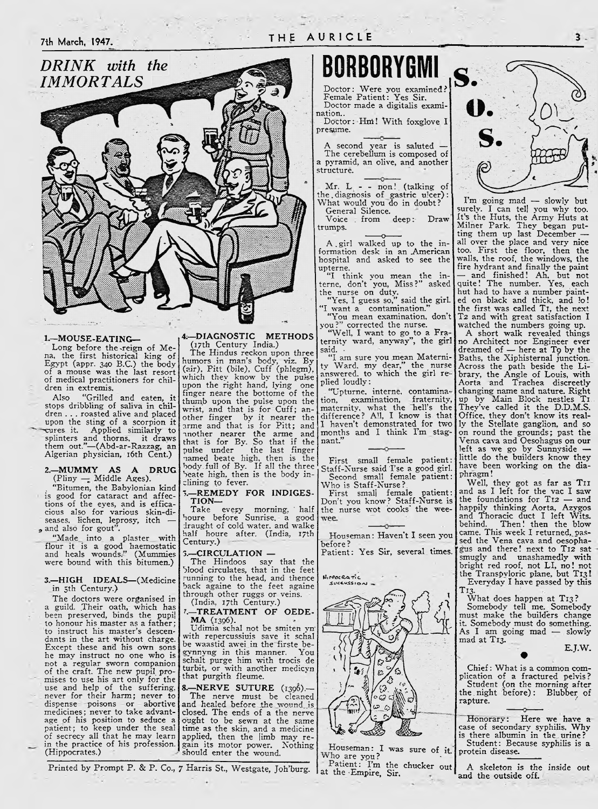

#### 1. —MOUSE-EATING—

Long before the-reign of Mena, the first historical king of Egypt (appr. 340 B.C.) the body of a mouse was the last resort of medical practitioners for children in extremis.<br>Also "Grilled

"Grilled and eaten, stops dribbling of saliva in children . . . roasted alive and placed upon the sting of a scorpion it<br>
eures it. Applied similarly to splinters and thorns, it draws them out."—(Abd-ar-Razzag, an Algerian physician, 16th Cent.)

2.—MUMMY AS A DRUG| (Pliny — Middle Ages).

. "Bitumen, the Babylonian kind is good for cataract and affections of the eyes, and is efficacious also for various skin-di-seases, lichen, leprosy, itch — 9 and also for gout".

"Made into a plaster with flour it is a good haemostatic and heals wounds." (Mummies were bound with this bitumen.)

3. —HIGH IDEALS—(Medicine in 5th Century.)

The doctors were organised in a guild. Their oath, which has been preserved, binds the pupil to honour his master as a father; to instruct his master's descendants in the art without charge. Except these and his own sons he may instruct no one who is not a regular sworn companion of the craft. The new pupil, promises to use his art only for the use and help of the suffering, never for their harm; never to dispense poisons or abortive medicines; never to take advantage of his position to seduce a patient; to keep under the seal of secrecy all that he may learn in the practice of his profession. (Hippocrates.)

4:—DIAGNOSTIC METHODS

(17th Century India.) The Hindus reckon upon three humors in man's body, viz. By (air), Pitt (bile). Cuff (phlegm), which they know by the pulse upon the right hand, lying one finger neare the bottome of the thumb upon the pulse upon the wrist, and that is for Cuff; another finger by it nearer the arme and that is for Pitt; and another nearer the arme and that is for By. So that if the pulse under the last finger named beate high, then is the body, full of By. If all the three Veate high, then is the body inclining to fever.

-REMEDY FOR INDIGES-TION—

Take every morning, half houre before Sunrise, a good draught of cold water, and walke half houre after. (India, 17th Century.)

#### 3.—CIRCULATION —

The Hindoos say that the blood circulates, that in the feet running to the head, and thence back againe to the feet againe through other ruggs or veins.

(India, 17th Century.) -TREATMENT OF OEDE-

MA (1396). Udimia schal not be smiten vn"

with repercussiuis save it schal be waastid awei in the firste be-<br>gynnyng in this manner. You schalt purge him with trocis de turbit, or with another medicyn that purgith fleume.

8.—NERVE SUTURE (1396).— The nerve must be cleaned and healed before the wound is. closed. The ends of a the nerve ought to be sewn at the same time as the skin, and a medicine applied, then the limb may re-<br>gain its motor power. Nothing gain its motor power. Nothing should enter the wound.

Printed by Prompt P. & P. Co., 7 Harris St., Westgate, Joh'burg. | at the Empire, Sir.

*IMMORTALS* BQRBORYGMI

Doctor: Were you examined? Female Patient: Yes Sir. Doctor made a digitalis examination..

Doctor: Hni! With foxglove I presume.

A second year is saluted — The cerebellum is composed of a pyramid, an olive, and another structure.

÷  $Mr. L - - non!$  (talking of the.diagnosis of gastric ulcer): What would you do in doubt? General Silence.

Voice from deep: Draw trumps.

A girl walked up to the information desk in an American hospital and asked to see the

upterne.<br>"I think you mean the interne, don't you, Miss?" asked the nurse on duty.

"Yes, I guess so," said the girl. "I want a contamination." "You mean examination,"<br>"You mean examination, don't<br>you?" corrected the nurse.

you?" corrected the nurse.

"Well, I want to go to a Fra-ternity ward, anyway", the girl said. • "I am sure you mean Materni-

ty Ward, my dear," the nurse answered, to which the girl replied loudly:

"Upturne, interne, contamination, examination, fraternity, maternity, what the hell's the difference? All, I know is that I haven't demonstrated^ for two months and I think I'm stagnant."

First small female patient: Staff-Nurse said Tse a good girl. Second small female patient: Who is Staff-Nurse?.

First small female patient: Don't you know? Staff-Nurse is the nurse wot cooks' the wee-

Houseman: Haven't I seen you before ? Patient: Yes Sir, several times.



Houseman: I was sure of it.<br>Who are you?

Patient: I'm the chucker out



 $3.$ 

I'm going mad — slowly but surely. I can tell you why too. It's the Huts, the Army Huts at Milner Park. They began putting them up last December all over the place and very nice too. First the floor, then the walls, the roof, the windows, the fire hydrant and finally the paint — and finished! Ah, but not quite! The number. Yes, each hut had to have a number painted on black and thick, and !o! the first was called TI, the next T2 and with great satisfaction I watched the numbers going up.

A short walk revealed things no Architect nor Engineer ever dreamed of — here at T9 by the Baths, the Xiphisternal junction. Across the path beside the Library, the Angle of Louis, with Aorta and Trachea discreetly changing name and nature. Right up by Main Block nestles TI. They've called it the D.D.M.S. Office, they don't know its really the Stellate ganglion, and so on round the grounds; past the Vena cava and Oesohagus on our left as we go by Sunnyside little do the builders know they have been working on the diaphragm !

Well, they got as far as TII and as I left for the vac I saw the foundations for T12 — and happily thinking Aorta, Azygos and Thoracic duct I left Wits, behind. Then! then the blow came. This week I returned,\_ passed the Vena cava and oesopha- 'gus and there! next to T12 sat smugly and unashamedly with bright red roof, not LI, no! not the Transpyloric plane, but T13 Evervdav I have passed bv this

T13.<br>What does happen at T13. Somebody tell me. Somebody must make the builders change it. Somebody must do something. As I am going mad — slowly mad at T13.

E.J.W.

Chief: What is a common complication of a fractured pelvis? Student (on the morning after the. night before) : Blubber of rapture.

•

Honorary: Here we have a case of secondary syphilis. Why is there albumin in the. urine ? Student: Because syphilis is a protein disease.

A skeleton is the inside out and the outside off.